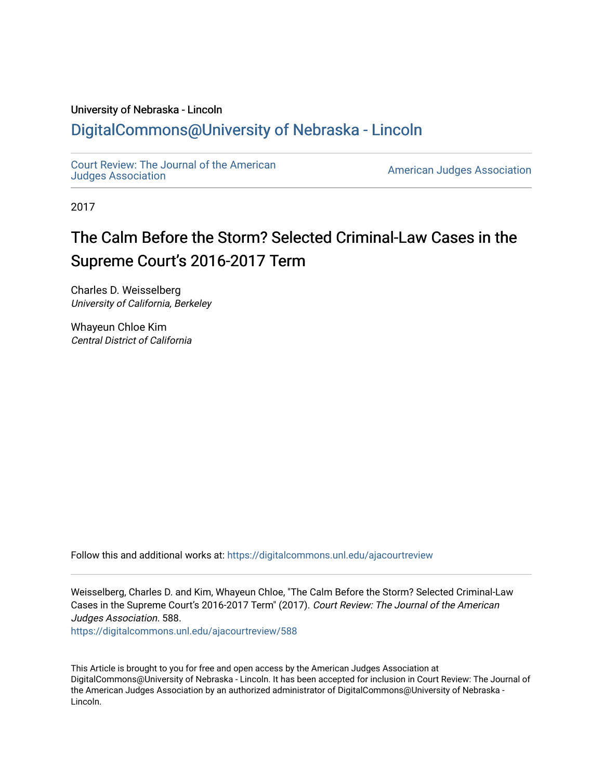## University of Nebraska - Lincoln [DigitalCommons@University of Nebraska - Lincoln](https://digitalcommons.unl.edu/)

[Court Review: The Journal of the American](https://digitalcommons.unl.edu/ajacourtreview)

[Judges Association](https://digitalcommons.unl.edu/ajacourtreview) [American Judges Association](https://digitalcommons.unl.edu/amjudgesassn) 

2017

# The Calm Before the Storm? Selected Criminal-Law Cases in the Supreme Court's 2016-2017 Term

Charles D. Weisselberg University of California, Berkeley

Whayeun Chloe Kim Central District of California

Follow this and additional works at: [https://digitalcommons.unl.edu/ajacourtreview](https://digitalcommons.unl.edu/ajacourtreview?utm_source=digitalcommons.unl.edu%2Fajacourtreview%2F588&utm_medium=PDF&utm_campaign=PDFCoverPages) 

Weisselberg, Charles D. and Kim, Whayeun Chloe, "The Calm Before the Storm? Selected Criminal-Law Cases in the Supreme Court's 2016-2017 Term" (2017). Court Review: The Journal of the American Judges Association. 588.

[https://digitalcommons.unl.edu/ajacourtreview/588](https://digitalcommons.unl.edu/ajacourtreview/588?utm_source=digitalcommons.unl.edu%2Fajacourtreview%2F588&utm_medium=PDF&utm_campaign=PDFCoverPages) 

This Article is brought to you for free and open access by the American Judges Association at DigitalCommons@University of Nebraska - Lincoln. It has been accepted for inclusion in Court Review: The Journal of the American Judges Association by an authorized administrator of DigitalCommons@University of Nebraska -Lincoln.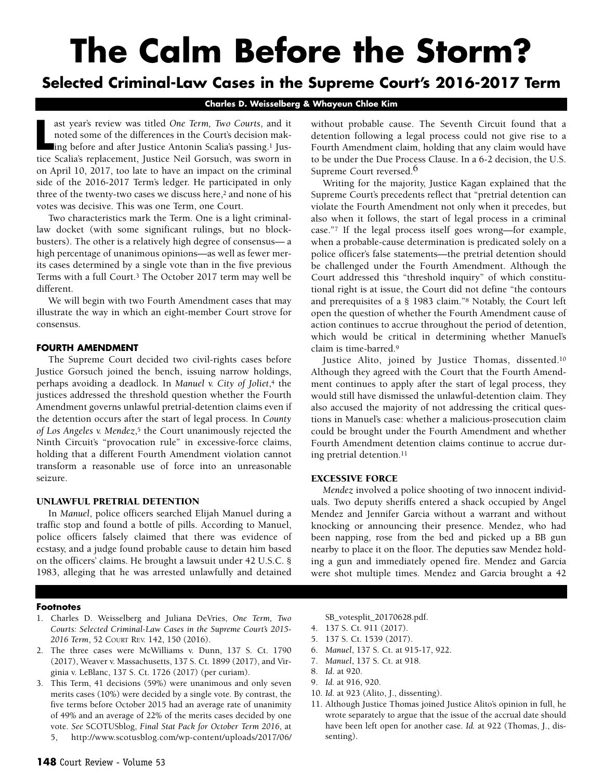# **The Calm Before the Storm?**

# **Selected Criminal-Law Cases in the Supreme Court's 2016-2017 Term**

**Charles D. Weisselberg & Whayeun Chloe Kim**

ast year's review was titled *One Term*, *Two Courts*, and it noted some of the differences in the Court's decision making before and after Justice Antonin Scalia's passing.<sup>1</sup> Justice Scalia's replacement, Justice Neil Go ast year's review was titled *One Term, Two Courts*, and it noted some of the differences in the Court's decision making before and after Justice Antonin Scalia's passing.1 Juson April 10, 2017, too late to have an impact on the criminal side of the 2016-2017 Term's ledger. He participated in only three of the twenty-two cases we discuss here,<sup>2</sup> and none of his votes was decisive. This was one Term, one Court.

Two characteristics mark the Term. One is a light criminallaw docket (with some significant rulings, but no blockbusters). The other is a relatively high degree of consensus— a high percentage of unanimous opinions—as well as fewer merits cases determined by a single vote than in the five previous Terms with a full Court.3 The October 2017 term may well be different.

We will begin with two Fourth Amendment cases that may illustrate the way in which an eight-member Court strove for consensus.

#### **FOURTH AMENDMENT**

The Supreme Court decided two civil-rights cases before Justice Gorsuch joined the bench, issuing narrow holdings, perhaps avoiding a deadlock. In *Manuel v. City of Joliet*,4 the justices addressed the threshold question whether the Fourth Amendment governs unlawful pretrial-detention claims even if the detention occurs after the start of legal process. In *County of Los Angeles v. Mendez*,5 the Court unanimously rejected the Ninth Circuit's "provocation rule" in excessive-force claims, holding that a different Fourth Amendment violation cannot transform a reasonable use of force into an unreasonable seizure.

#### UNLAWFUL PRETRIAL DETENTION

In *Manuel*, police officers searched Elijah Manuel during a traffic stop and found a bottle of pills. According to Manuel, police officers falsely claimed that there was evidence of ecstasy, and a judge found probable cause to detain him based on the officers' claims. He brought a lawsuit under 42 U.S.C. § 1983, alleging that he was arrested unlawfully and detained

#### **Footnotes**

- 1. Charles D. Weisselberg and Juliana DeVries, *One Term, Two Courts: Selected Criminal-Law Cases in the Supreme Court's 2015- 2016 Term*, 52 COURT REV. 142, 150 (2016).
- 2. The three cases were McWilliams v. Dunn, 137 S. Ct. 1790 (2017), Weaver v. Massachusetts, 137 S. Ct. 1899 (2017), and Virginia v. LeBlanc, 137 S. Ct. 1726 (2017) (per curiam).
- 3. This Term, 41 decisions (59%) were unanimous and only seven merits cases (10%) were decided by a single vote. By contrast, the five terms before October 2015 had an average rate of unanimity of 49% and an average of 22% of the merits cases decided by one vote. *See* SCOTUSblog, *Final Stat Pack for October Term 2016*, at 5, http://www.scotusblog.com/wp-content/uploads/2017/06/

without probable cause. The Seventh Circuit found that a detention following a legal process could not give rise to a Fourth Amendment claim, holding that any claim would have to be under the Due Process Clause. In a 6-2 decision, the U.S. Supreme Court reversed.<sup>6</sup>

Writing for the majority, Justice Kagan explained that the Supreme Court's precedents reflect that "pretrial detention can violate the Fourth Amendment not only when it precedes, but also when it follows, the start of legal process in a criminal case."7 If the legal process itself goes wrong—for example, when a probable-cause determination is predicated solely on a police officer's false statements—the pretrial detention should be challenged under the Fourth Amendment. Although the Court addressed this "threshold inquiry" of which constitutional right is at issue, the Court did not define "the contours and prerequisites of a § 1983 claim."8 Notably, the Court left open the question of whether the Fourth Amendment cause of action continues to accrue throughout the period of detention, which would be critical in determining whether Manuel's claim is time-barred.9

Justice Alito, joined by Justice Thomas, dissented.10 Although they agreed with the Court that the Fourth Amendment continues to apply after the start of legal process, they would still have dismissed the unlawful-detention claim. They also accused the majority of not addressing the critical questions in Manuel's case: whether a malicious-prosecution claim could be brought under the Fourth Amendment and whether Fourth Amendment detention claims continue to accrue during pretrial detention.<sup>11</sup>

#### EXCESSIVE FORCE

*Mendez* involved a police shooting of two innocent individuals. Two deputy sheriffs entered a shack occupied by Angel Mendez and Jennifer Garcia without a warrant and without knocking or announcing their presence. Mendez, who had been napping, rose from the bed and picked up a BB gun nearby to place it on the floor. The deputies saw Mendez holding a gun and immediately opened fire. Mendez and Garcia were shot multiple times. Mendez and Garcia brought a 42

[SB\\_votesplit\\_20170628.pdf.](http://www.scotusblog.com/wp-content/uploads/2017/06/SB_votesplit_20170628.pdf)

- 4. 137 S. Ct. 911 (2017).
- 5. 137 S. Ct. 1539 (2017).
- 6. *Manuel*, 137 S. Ct. at 915-17, 922.
- 7. *Manuel*, 137 S. Ct. at 918.
- 8. *Id*. at 920.
- 9. *Id.* at 916, 920.
- 10. *Id.* at 923 (Alito, J., dissenting).
- 11. Although Justice Thomas joined Justice Alito's opinion in full, he wrote separately to argue that the issue of the accrual date should have been left open for another case. *Id.* at 922 (Thomas, J., dissenting).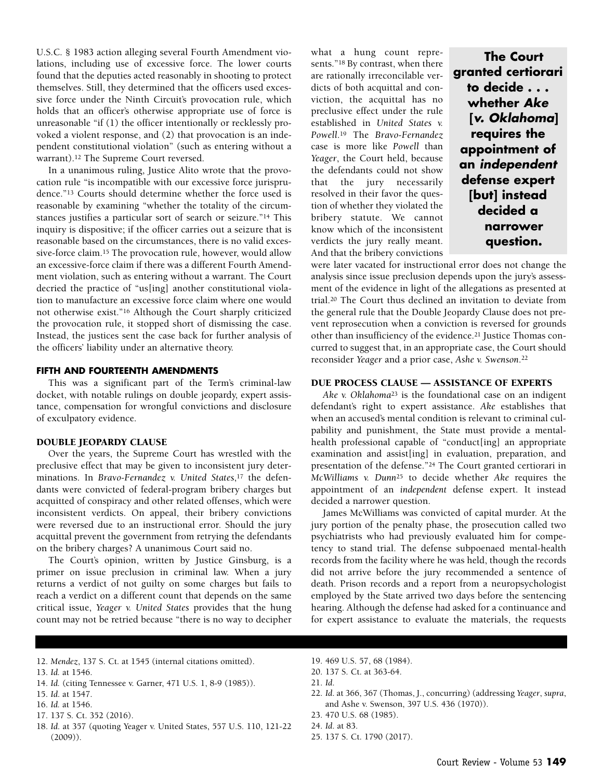U.S.C. § 1983 action alleging several Fourth Amendment violations, including use of excessive force. The lower courts found that the deputies acted reasonably in shooting to protect themselves. Still, they determined that the officers used excessive force under the Ninth Circuit's provocation rule, which holds that an officer's otherwise appropriate use of force is unreasonable "if (1) the officer intentionally or recklessly provoked a violent response, and (2) that provocation is an independent constitutional violation" (such as entering without a warrant).12 The Supreme Court reversed.

In a unanimous ruling, Justice Alito wrote that the provocation rule "is incompatible with our excessive force jurisprudence."13 Courts should determine whether the force used is reasonable by examining "whether the totality of the circumstances justifies a particular sort of search or seizure."14 This inquiry is dispositive; if the officer carries out a seizure that is reasonable based on the circumstances, there is no valid excessive-force claim.15 The provocation rule, however, would allow an excessive-force claim if there was a different Fourth Amendment violation, such as entering without a warrant. The Court decried the practice of "us[ing] another constitutional violation to manufacture an excessive force claim where one would not otherwise exist."16 Although the Court sharply criticized the provocation rule, it stopped short of dismissing the case. Instead, the justices sent the case back for further analysis of the officers' liability under an alternative theory.

#### **FIFTH AND FOURTEENTH AMENDMENTS**

This was a significant part of the Term's criminal-law docket, with notable rulings on double jeopardy, expert assistance, compensation for wrongful convictions and disclosure of exculpatory evidence.

#### DOUBLE JEOPARDY CLAUSE

Over the years, the Supreme Court has wrestled with the preclusive effect that may be given to inconsistent jury determinations. In *Bravo-Fernandez v. United States*,17 the defendants were convicted of federal-program bribery charges but acquitted of conspiracy and other related offenses, which were inconsistent verdicts. On appeal, their bribery convictions were reversed due to an instructional error. Should the jury acquittal prevent the government from retrying the defendants on the bribery charges? A unanimous Court said no.

The Court's opinion, written by Justice Ginsburg, is a primer on issue preclusion in criminal law. When a jury returns a verdict of not guilty on some charges but fails to reach a verdict on a different count that depends on the same critical issue, *Yeager v. United States* provides that the hung count may not be retried because "there is no way to decipher what a hung count represents."18 By contrast, when there are rationally irreconcilable verdicts of both acquittal and conviction, the acquittal has no preclusive effect under the rule established in *United States v. Powell*.19 The *Bravo-Fernandez* case is more like *Powell* than *Yeager*, the Court held, because the defendants could not show that the jury necessarily resolved in their favor the question of whether they violated the bribery statute. We cannot know which of the inconsistent verdicts the jury really meant. And that the bribery convictions

**The Court granted certiorari to decide . . . whether** *Ake* **[***v. Oklahoma***] requires the appointment of an** *independent* **defense expert [but] instead decided a narrower question.**

were later vacated for instructional error does not change the analysis since issue preclusion depends upon the jury's assessment of the evidence in light of the allegations as presented at trial.20 The Court thus declined an invitation to deviate from the general rule that the Double Jeopardy Clause does not prevent reprosecution when a conviction is reversed for grounds other than insufficiency of the evidence.21 Justice Thomas concurred to suggest that, in an appropriate case, the Court should reconsider *Yeager* and a prior case, *Ashe v. Swenson*.22

#### DUE PROCESS CLAUSE — ASSISTANCE OF EXPERTS

*Ake v. Oklahoma*<sup>23</sup> is the foundational case on an indigent defendant's right to expert assistance. *Ake* establishes that when an accused's mental condition is relevant to criminal culpability and punishment, the State must provide a mentalhealth professional capable of "conduct[ing] an appropriate examination and assist[ing] in evaluation, preparation, and presentation of the defense."24 The Court granted certiorari in *McWilliams v. Dunn*<sup>25</sup> to decide whether *Ake* requires the appointment of an *independent* defense expert. It instead decided a narrower question.

James McWilliams was convicted of capital murder. At the jury portion of the penalty phase, the prosecution called two psychiatrists who had previously evaluated him for competency to stand trial. The defense subpoenaed mental-health records from the facility where he was held, though the records did not arrive before the jury recommended a sentence of death. Prison records and a report from a neuropsychologist employed by the State arrived two days before the sentencing hearing. Although the defense had asked for a continuance and for expert assistance to evaluate the materials, the requests

- 12. *Mendez*, 137 S. Ct. at 1545 (internal citations omitted).
- 13. *Id.* at 1546.
- 14. *Id.* (citing Tennessee v. Garner, 471 U.S. 1, 8-9 (1985)).
- 15. *Id*. at 1547.
- 16. *Id.* at 1546.
- 17. 137 S. Ct. 352 (2016).
- 18. *Id*. at 357 (quoting Yeager v. United States, 557 U.S. 110, 121-22  $(2009)$ .
- 19. 469 U.S. 57, 68 (1984).
- 20. 137 S. Ct. at 363-64.
- 21. *Id*.
- 22. *Id*. at 366, 367 (Thomas, J., concurring) (addressing *Yeager*, *supra*, and Ashe v. Swenson, 397 U.S. 436 (1970)).
- 23. 470 U.S. 68 (1985).
- 24. *Id*. at 83.
- 25. 137 S. Ct. 1790 (2017).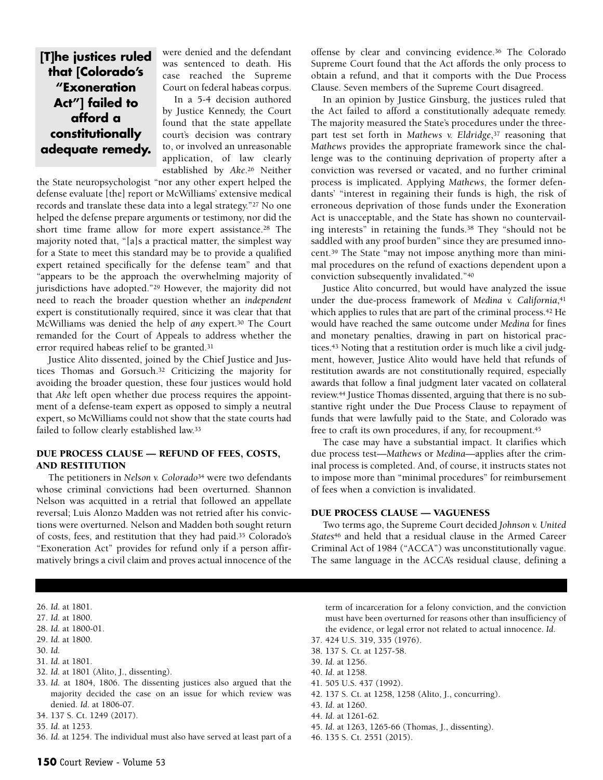## **[T]he justices ruled that [Colorado's "Exoneration Act"] failed to afford a constitutionally adequate remedy.**

were denied and the defendant was sentenced to death. His case reached the Supreme Court on federal habeas corpus.

In a 5-4 decision authored by Justice Kennedy, the Court found that the state appellate court's decision was contrary to, or involved an unreasonable application, of law clearly established by *Ake*.26 Neither

the State neuropsychologist "nor any other expert helped the defense evaluate [the] report or McWilliams' extensive medical records and translate these data into a legal strategy."27 No one helped the defense prepare arguments or testimony, nor did the short time frame allow for more expert assistance.28 The majority noted that, "[a]s a practical matter, the simplest way for a State to meet this standard may be to provide a qualified expert retained specifically for the defense team" and that "appears to be the approach the overwhelming majority of jurisdictions have adopted."29 However, the majority did not need to reach the broader question whether an *independent* expert is constitutionally required, since it was clear that that McWilliams was denied the help of *any* expert.30 The Court remanded for the Court of Appeals to address whether the error required habeas relief to be granted.31

Justice Alito dissented, joined by the Chief Justice and Justices Thomas and Gorsuch.32 Criticizing the majority for avoiding the broader question, these four justices would hold that *Ake* left open whether due process requires the appointment of a defense-team expert as opposed to simply a neutral expert, so McWilliams could not show that the state courts had failed to follow clearly established law.33

#### DUE PROCESS CLAUSE — REFUND OF FEES, COSTS, AND RESTITUTION

The petitioners in *Nelson v. Colorado*<sup>34</sup> were two defendants whose criminal convictions had been overturned. Shannon Nelson was acquitted in a retrial that followed an appellate reversal; Luis Alonzo Madden was not retried after his convictions were overturned. Nelson and Madden both sought return of costs, fees, and restitution that they had paid.35 Colorado's "Exoneration Act" provides for refund only if a person affirmatively brings a civil claim and proves actual innocence of the offense by clear and convincing evidence.36 The Colorado Supreme Court found that the Act affords the only process to obtain a refund, and that it comports with the Due Process Clause. Seven members of the Supreme Court disagreed.

In an opinion by Justice Ginsburg, the justices ruled that the Act failed to afford a constitutionally adequate remedy. The majority measured the State's procedures under the threepart test set forth in *Mathews v. Eldridge*,37 reasoning that *Mathews* provides the appropriate framework since the challenge was to the continuing deprivation of property after a conviction was reversed or vacated, and no further criminal process is implicated. Applying *Mathews*, the former defendants' "interest in regaining their funds is high, the risk of erroneous deprivation of those funds under the Exoneration Act is unacceptable, and the State has shown no countervailing interests" in retaining the funds.38 They "should not be saddled with any proof burden" since they are presumed innocent.39 The State "may not impose anything more than minimal procedures on the refund of exactions dependent upon a conviction subsequently invalidated."40

Justice Alito concurred, but would have analyzed the issue under the due-process framework of *Medina v. California*,41 which applies to rules that are part of the criminal process.<sup>42</sup> He would have reached the same outcome under *Medina* for fines and monetary penalties, drawing in part on historical practices.43 Noting that a restitution order is much like a civil judgment, however, Justice Alito would have held that refunds of restitution awards are not constitutionally required, especially awards that follow a final judgment later vacated on collateral review.44 Justice Thomas dissented, arguing that there is no substantive right under the Due Process Clause to repayment of funds that were lawfully paid to the State, and Colorado was free to craft its own procedures, if any, for recoupment.45

The case may have a substantial impact. It clarifies which due process test—*Mathews* or *Medina*—applies after the criminal process is completed. And, of course, it instructs states not to impose more than "minimal procedures" for reimbursement of fees when a conviction is invalidated.

#### DUE PROCESS CLAUSE — VAGUENESS

Two terms ago, the Supreme Court decided *Johnson v. United States*<sup>46</sup> and held that a residual clause in the Armed Career Criminal Act of 1984 ("ACCA") was unconstitutionally vague. The same language in the ACCA's residual clause, defining a

- 26. *Id*. at 1801.
- 27. *Id*. at 1800.
- 28. *Id*. at 1800-01.
- 29. *Id*. at 1800.
- 30. *Id*.
- 31. *Id*. at 1801.
- 32. *Id*. at 1801 (Alito, J., dissenting).
- 33. *Id*. at 1804, 1806. The dissenting justices also argued that the majority decided the case on an issue for which review was denied. *Id*. at 1806-07.
- 34. 137 S. Ct. 1249 (2017).
- 35. *Id*. at 1253.
- 36. *Id*. at 1254. The individual must also have served at least part of a

term of incarceration for a felony conviction, and the conviction must have been overturned for reasons other than insufficiency of the evidence, or legal error not related to actual innocence. *Id*.

- 37. 424 U.S. 319, 335 (1976).
- 38. 137 S. Ct. at 1257-58.
- 39. *Id*. at 1256.
- 40. *Id*. at 1258.
- 41. 505 U.S. 437 (1992).
- 42. 137 S. Ct. at 1258, 1258 (Alito, J., concurring).
- 43. *Id*. at 1260.
- 44. *Id*. at 1261-62.
- 45. *Id*. at 1263, 1265-66 (Thomas, J., dissenting).
- 46. 135 S. Ct. 2551 (2015).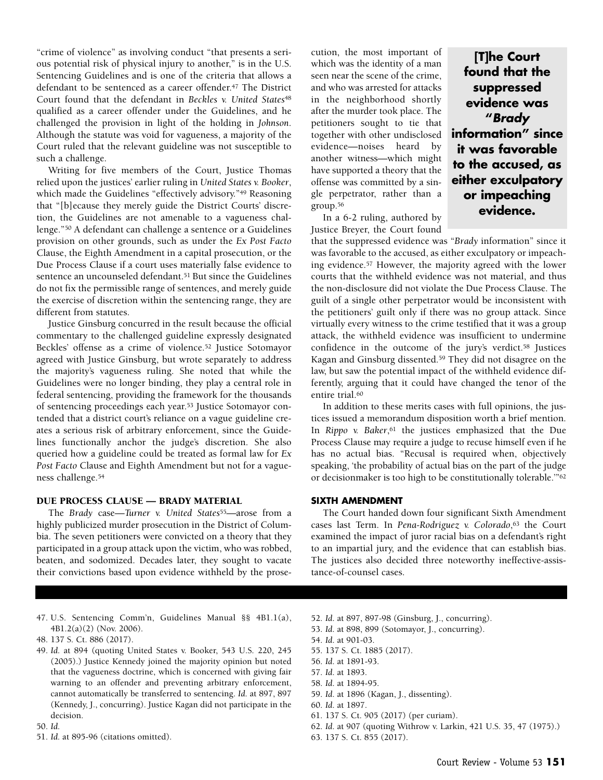"crime of violence" as involving conduct "that presents a serious potential risk of physical injury to another," is in the U.S. Sentencing Guidelines and is one of the criteria that allows a defendant to be sentenced as a career offender.47 The District Court found that the defendant in *Beckles v. United States*<sup>48</sup> qualified as a career offender under the Guidelines, and he challenged the provision in light of the holding in *Johnson*. Although the statute was void for vagueness, a majority of the Court ruled that the relevant guideline was not susceptible to such a challenge.

Writing for five members of the Court, Justice Thomas relied upon the justices' earlier ruling in *United States v. Booker*, which made the Guidelines "effectively advisory."49 Reasoning that "[b]ecause they merely guide the District Courts' discretion, the Guidelines are not amenable to a vagueness challenge."50 A defendant can challenge a sentence or a Guidelines provision on other grounds, such as under the *Ex Post Facto* Clause, the Eighth Amendment in a capital prosecution, or the Due Process Clause if a court uses materially false evidence to sentence an uncounseled defendant.51 But since the Guidelines do not fix the permissible range of sentences, and merely guide the exercise of discretion within the sentencing range, they are different from statutes.

Justice Ginsburg concurred in the result because the official commentary to the challenged guideline expressly designated Beckles' offense as a crime of violence.52 Justice Sotomayor agreed with Justice Ginsburg, but wrote separately to address the majority's vagueness ruling. She noted that while the Guidelines were no longer binding, they play a central role in federal sentencing, providing the framework for the thousands of sentencing proceedings each year.53 Justice Sotomayor contended that a district court's reliance on a vague guideline creates a serious risk of arbitrary enforcement, since the Guidelines functionally anchor the judge's discretion. She also queried how a guideline could be treated as formal law for *Ex Post Facto* Clause and Eighth Amendment but not for a vagueness challenge.54

#### DUE PROCESS CLAUSE — BRADY MATERIAL

The *Brady* case—*Turner v. United States*55—arose from a highly publicized murder prosecution in the District of Columbia. The seven petitioners were convicted on a theory that they participated in a group attack upon the victim, who was robbed, beaten, and sodomized. Decades later, they sought to vacate their convictions based upon evidence withheld by the prose-

- 47. U.S. Sentencing Comm'n, Guidelines Manual §§ 4B1.1(a), 4B1.2(a)(2) (Nov. 2006).
- 48. 137 S. Ct. 886 (2017).
- 49. *Id*. at 894 (quoting United States v. Booker, 543 U.S. 220, 245 (2005).) Justice Kennedy joined the majority opinion but noted that the vagueness doctrine, which is concerned with giving fair warning to an offender and preventing arbitrary enforcement, cannot automatically be transferred to sentencing. *Id*. at 897, 897 (Kennedy, J., concurring). Justice Kagan did not participate in the decision.

#### 50. *Id*.

51. *Id*. at 895-96 (citations omitted).

cution, the most important of which was the identity of a man seen near the scene of the crime, and who was arrested for attacks in the neighborhood shortly after the murder took place. The petitioners sought to tie that together with other undisclosed evidence—noises heard by another witness—which might have supported a theory that the offense was committed by a single perpetrator, rather than a group.56

In a 6-2 ruling, authored by Justice Breyer, the Court found

that the suppressed evidence was "*Brady* information" since it was favorable to the accused, as either exculpatory or impeaching evidence.57 However, the majority agreed with the lower courts that the withheld evidence was not material, and thus the non-disclosure did not violate the Due Process Clause. The guilt of a single other perpetrator would be inconsistent with the petitioners' guilt only if there was no group attack. Since virtually every witness to the crime testified that it was a group attack, the withheld evidence was insufficient to undermine confidence in the outcome of the jury's verdict.58 Justices Kagan and Ginsburg dissented.59 They did not disagree on the law, but saw the potential impact of the withheld evidence differently, arguing that it could have changed the tenor of the entire trial.<sup>60</sup>

In addition to these merits cases with full opinions, the justices issued a memorandum disposition worth a brief mention. In *Rippo v. Baker*,<sup>61</sup> the justices emphasized that the Due Process Clause may require a judge to recuse himself even if he has no actual bias. "Recusal is required when, objectively speaking, 'the probability of actual bias on the part of the judge or decisionmaker is too high to be constitutionally tolerable.'"62

#### **SIXTH AMENDMENT**

The Court handed down four significant Sixth Amendment cases last Term. In *Pena-Rodriguez v. Colorado*,<sup>63</sup> the Court examined the impact of juror racial bias on a defendant's right to an impartial jury, and the evidence that can establish bias. The justices also decided three noteworthy ineffective-assistance-of-counsel cases.

- 52. *Id*. at 897, 897-98 (Ginsburg, J., concurring).
- 53. *Id*. at 898, 899 (Sotomayor, J., concurring).
- 54. *Id*. at 901-03.
- 55. 137 S. Ct. 1885 (2017).
- 56. *Id*. at 1891-93.
- 57. *Id*. at 1893.
- 58. *Id*. at 1894-95.
- 59. *Id*. at 1896 (Kagan, J., dissenting).
- 60. *Id*. at 1897.
- 61. 137 S. Ct. 905 (2017) (per curiam).
- 62. *Id*. at 907 (quoting Withrow v. Larkin, 421 U.S. 35, 47 (1975).)
- 63. 137 S. Ct. 855 (2017).

**[T]he Court found that the suppressed evidence was "***Brady* **information" since it was favorable to the accused, as either exculpatory or impeaching evidence.**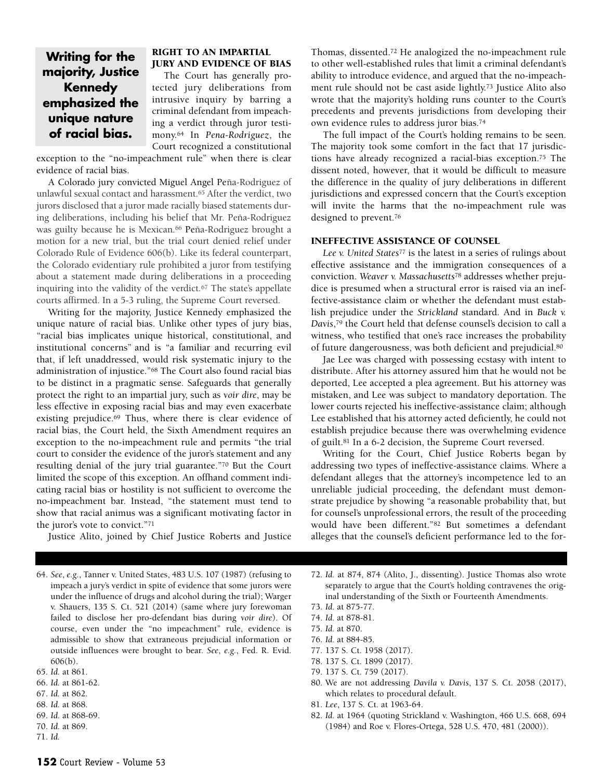### **Writing for the majority, Justice Kennedy emphasized the unique nature of racial bias.**

#### RIGHT TO AN IMPARTIAL JURY AND EVIDENCE OF BIAS

The Court has generally protected jury deliberations from intrusive inquiry by barring a criminal defendant from impeaching a verdict through juror testimony.64 In *Pena-Rodriguez*, the Court recognized a constitutional

exception to the "no-impeachment rule" when there is clear evidence of racial bias.

A Colorado jury convicted Miguel Angel Peña-Rodriguez of unlawful sexual contact and harassment.65 After the verdict, two jurors disclosed that a juror made racially biased statements during deliberations, including his belief that Mr. Peña-Rodriguez was guilty because he is Mexican.<sup>66</sup> Peña-Rodriguez brought a motion for a new trial, but the trial court denied relief under Colorado Rule of Evidence 606(b). Like its federal counterpart, the Colorado evidentiary rule prohibited a juror from testifying about a statement made during deliberations in a proceeding inquiring into the validity of the verdict.67 The state's appellate courts affirmed. In a 5-3 ruling, the Supreme Court reversed.

Writing for the majority, Justice Kennedy emphasized the unique nature of racial bias. Unlike other types of jury bias, "racial bias implicates unique historical, constitutional, and institutional concerns" and is "a familiar and recurring evil that, if left unaddressed, would risk systematic injury to the administration of injustice."68 The Court also found racial bias to be distinct in a pragmatic sense. Safeguards that generally protect the right to an impartial jury, such as *voir dire*, may be less effective in exposing racial bias and may even exacerbate existing prejudice.69 Thus, where there is clear evidence of racial bias, the Court held, the Sixth Amendment requires an exception to the no-impeachment rule and permits "the trial court to consider the evidence of the juror's statement and any resulting denial of the jury trial guarantee."70 But the Court limited the scope of this exception. An offhand comment indicating racial bias or hostility is not sufficient to overcome the no-impeachment bar. Instead, "the statement must tend to show that racial animus was a significant motivating factor in the juror's vote to convict."71

Justice Alito, joined by Chief Justice Roberts and Justice

64. *See*, *e.g.*, Tanner v. United States, 483 U.S. 107 (1987) (refusing to impeach a jury's verdict in spite of evidence that some jurors were under the influence of drugs and alcohol during the trial); Warger v. Shauers, 135 S. Ct. 521 (2014) (same where jury forewoman failed to disclose her pro-defendant bias during *voir dire*). Of course, even under the "no impeachment" rule, evidence is admissible to show that extraneous prejudicial information or outside influences were brought to bear. *See*, *e.g.*, Fed. R. Evid. 606(b).

- 66. *Id.* at 861-62.
- 67. *Id.* at 862.
- 68. *Id.* at 868.
- 69. *Id.* at 868-69. 70. *Id.* at 869.
- 71. *Id.*

Thomas, dissented.72 He analogized the no-impeachment rule to other well-established rules that limit a criminal defendant's ability to introduce evidence, and argued that the no-impeachment rule should not be cast aside lightly.73 Justice Alito also wrote that the majority's holding runs counter to the Court's precedents and prevents jurisdictions from developing their own evidence rules to address juror bias.74

The full impact of the Court's holding remains to be seen. The majority took some comfort in the fact that 17 jurisdictions have already recognized a racial-bias exception.75 The dissent noted, however, that it would be difficult to measure the difference in the quality of jury deliberations in different jurisdictions and expressed concern that the Court's exception will invite the harms that the no-impeachment rule was designed to prevent.76

#### INEFFECTIVE ASSISTANCE OF COUNSEL

*Lee v. United States*<sup>77</sup> is the latest in a series of rulings about effective assistance and the immigration consequences of a conviction. *Weaver v. Massachusetts*<sup>78</sup> addresses whether prejudice is presumed when a structural error is raised via an ineffective-assistance claim or whether the defendant must establish prejudice under the *Strickland* standard. And in *Buck v. Davis*,79 the Court held that defense counsel's decision to call a witness, who testified that one's race increases the probability of future dangerousness, was both deficient and prejudicial.80

Jae Lee was charged with possessing ecstasy with intent to distribute. After his attorney assured him that he would not be deported, Lee accepted a plea agreement. But his attorney was mistaken, and Lee was subject to mandatory deportation. The lower courts rejected his ineffective-assistance claim; although Lee established that his attorney acted deficiently, he could not establish prejudice because there was overwhelming evidence of guilt.81 In a 6-2 decision, the Supreme Court reversed.

Writing for the Court, Chief Justice Roberts began by addressing two types of ineffective-assistance claims. Where a defendant alleges that the attorney's incompetence led to an unreliable judicial proceeding, the defendant must demonstrate prejudice by showing "a reasonable probability that, but for counsel's unprofessional errors, the result of the proceeding would have been different."82 But sometimes a defendant alleges that the counsel's deficient performance led to the for-

- 72. *Id.* at 874, 874 (Alito, J., dissenting). Justice Thomas also wrote separately to argue that the Court's holding contravenes the original understanding of the Sixth or Fourteenth Amendments.
- 73. *Id.* at 875-77.
- 74. *Id.* at 878-81.
- 75. *Id.* at 870.
- 76. *Id.* at 884-85.
- 77. 137 S. Ct. 1958 (2017).
- 78. 137 S. Ct. 1899 (2017).
- 79. 137 S. Ct. 759 (2017).
- 80. We are not addressing *Davila v. Davis*, 137 S. Ct. 2058 (2017), which relates to procedural default.
- 81. *Lee*, 137 S. Ct. at 1963-64.
- 82. *Id.* at 1964 (quoting Strickland v. Washington, 466 U.S. 668, 694 (1984) and Roe v. Flores-Ortega, 528 U.S. 470, 481 (2000)).

<sup>65.</sup> *Id.* at 861.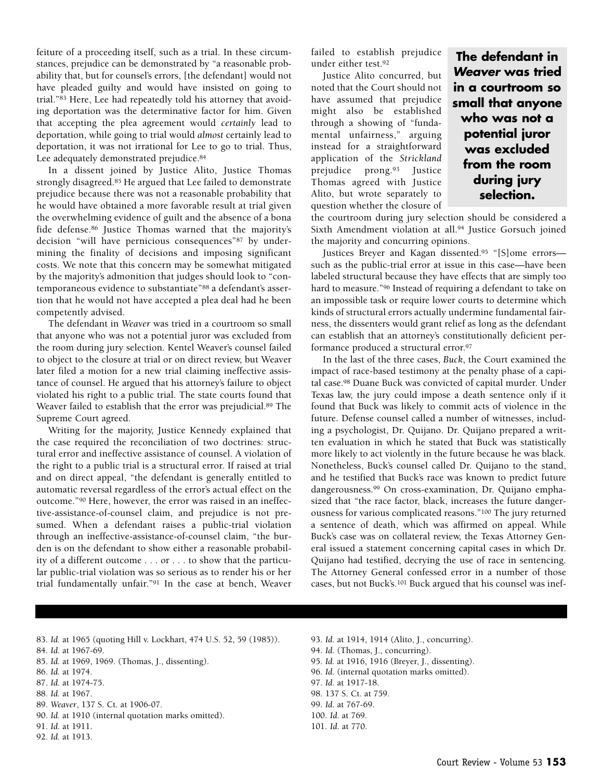feiture of a proceeding itself, such as a trial. In these circumstances, prejudice can be demonstrated by "a reasonable probability that, but for counsel's errors, [the defendant] would not have pleaded guilty and would have insisted on going to trial."83 Here, Lee had repeatedly told his attorney that avoiding deportation was the determinative factor for him. Given that accepting the plea agreement would *certainly* lead to deportation, while going to trial would *almost* certainly lead to deportation, it was not irrational for Lee to go to trial. Thus, Lee adequately demonstrated prejudice.84

In a dissent joined by Justice Alito, Justice Thomas strongly disagreed.85 He argued that Lee failed to demonstrate prejudice because there was not a reasonable probability that he would have obtained a more favorable result at trial given the overwhelming evidence of guilt and the absence of a bona fide defense.86 Justice Thomas warned that the majority's decision "will have pernicious consequences"87 by undermining the finality of decisions and imposing significant costs. We note that this concern may be somewhat mitigated by the majority's admonition that judges should look to "contemporaneous evidence to substantiate"88 a defendant's assertion that he would not have accepted a plea deal had he been competently advised.

The defendant in *Weaver* was tried in a courtroom so small that anyone who was not a potential juror was excluded from the room during jury selection. Kentel Weaver's counsel failed to object to the closure at trial or on direct review, but Weaver later filed a motion for a new trial claiming ineffective assistance of counsel. He argued that his attorney's failure to object violated his right to a public trial. The state courts found that Weaver failed to establish that the error was prejudicial.89 The Supreme Court agreed.

Writing for the majority, Justice Kennedy explained that the case required the reconciliation of two doctrines: structural error and ineffective assistance of counsel. A violation of the right to a public trial is a structural error. If raised at trial and on direct appeal, "the defendant is generally entitled to automatic reversal regardless of the error's actual effect on the outcome."90 Here, however, the error was raised in an ineffective-assistance-of-counsel claim, and prejudice is not presumed. When a defendant raises a public-trial violation through an ineffective-assistance-of-counsel claim, "the burden is on the defendant to show either a reasonable probability of a different outcome . . . or . . . to show that the particular public-trial violation was so serious as to render his or her trial fundamentally unfair."91 In the case at bench, Weaver failed to establish prejudice under either test.92

Justice Alito concurred, but noted that the Court should not have assumed that prejudice might also be established through a showing of "fundamental unfairness," arguing instead for a straightforward application of the *Strickland* prejudice prong.93 Justice Thomas agreed with Justice Alito, but wrote separately to question whether the closure of

**The defendant in** *Weaver* **was tried in a courtroom so small that anyone who was not a potential juror was excluded from the room during jury selection.**

the courtroom during jury selection should be considered a Sixth Amendment violation at all.94 Justice Gorsuch joined the majority and concurring opinions.

Justices Breyer and Kagan dissented.95 "[S]ome errors such as the public-trial error at issue in this case—have been labeled structural because they have effects that are simply too hard to measure."96 Instead of requiring a defendant to take on an impossible task or require lower courts to determine which kinds of structural errors actually undermine fundamental fairness, the dissenters would grant relief as long as the defendant can establish that an attorney's constitutionally deficient performance produced a structural error.97

In the last of the three cases, *Buck*, the Court examined the impact of race-based testimony at the penalty phase of a capital case.98 Duane Buck was convicted of capital murder. Under Texas law, the jury could impose a death sentence only if it found that Buck was likely to commit acts of violence in the future. Defense counsel called a number of witnesses, including a psychologist, Dr. Quijano. Dr. Quijano prepared a written evaluation in which he stated that Buck was statistically more likely to act violently in the future because he was black. Nonetheless, Buck's counsel called Dr. Quijano to the stand, and he testified that Buck's race was known to predict future dangerousness.99 On cross-examination, Dr. Quijano emphasized that "the race factor, black, increases the future dangerousness for various complicated reasons."100 The jury returned a sentence of death, which was affirmed on appeal. While Buck's case was on collateral review, the Texas Attorney General issued a statement concerning capital cases in which Dr. Quijano had testified, decrying the use of race in sentencing. The Attorney General confessed error in a number of those cases, but not Buck's.101 Buck argued that his counsel was inef-

- 83. *Id.* at 1965 (quoting Hill v. Lockhart, 474 U.S. 52, 59 (1985)).
- 84. *Id.* at 1967-69.
- 85. *Id.* at 1969, 1969. (Thomas, J., dissenting).
- 86. *Id.* at 1974.
- 87. *Id.* at 1974-75.
- 88. *Id.* at 1967.
- 89. *Weaver*, 137 S. Ct. at 1906-07.
- 90. *Id.* at 1910 (internal quotation marks omitted).
- 91. *Id*. at 1911.
- 92. *Id*. at 1913.
- 93. *Id*. at 1914, 1914 (Alito, J., concurring). 94. *Id.* (Thomas, J., concurring). 95. *Id.* at 1916, 1916 (Breyer, J., dissenting). 96. *Id.* (internal quotation marks omitted).
- 
- 97. *Id*. at 1917-18.
- 98. 137 S. Ct. at 759.
- 99. *Id*. at 767-69.
- 100. *Id.* at 769.
- 101. *Id*. at 770.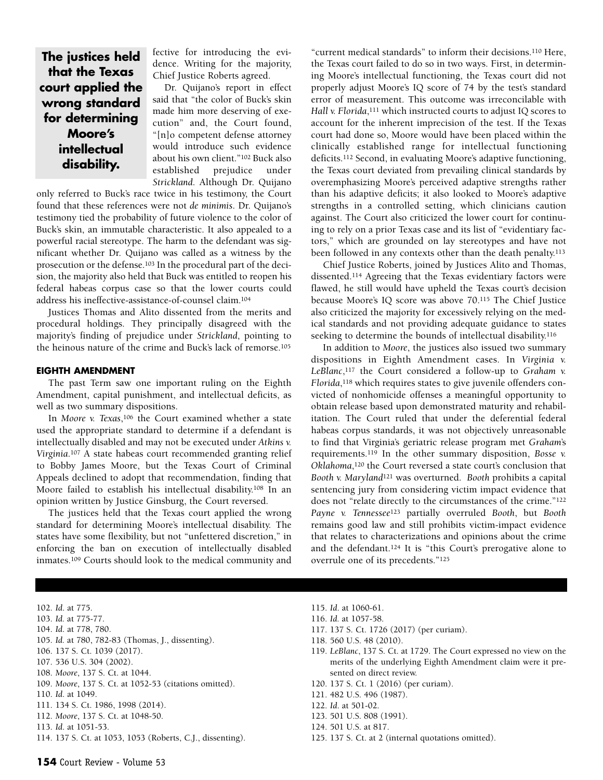**The justices held that the Texas court applied the wrong standard for determining Moore's intellectual disability.**

fective for introducing the evidence. Writing for the majority, Chief Justice Roberts agreed.

Dr. Quijano's report in effect said that "the color of Buck's skin made him more deserving of execution" and, the Court found, "[n]o competent defense attorney would introduce such evidence about his own client."102 Buck also established prejudice under *Strickland*. Although Dr. Quijano

only referred to Buck's race twice in his testimony, the Court found that these references were not *de minimis*. Dr. Quijano's testimony tied the probability of future violence to the color of Buck's skin, an immutable characteristic. It also appealed to a powerful racial stereotype. The harm to the defendant was significant whether Dr. Quijano was called as a witness by the prosecution or the defense.103 In the procedural part of the decision, the majority also held that Buck was entitled to reopen his federal habeas corpus case so that the lower courts could address his ineffective-assistance-of-counsel claim.104

Justices Thomas and Alito dissented from the merits and procedural holdings. They principally disagreed with the majority's finding of prejudice under *Strickland*, pointing to the heinous nature of the crime and Buck's lack of remorse.105

#### **EIGHTH AMENDMENT**

The past Term saw one important ruling on the Eighth Amendment, capital punishment, and intellectual deficits, as well as two summary dispositions.

In *Moore v. Texas*,106 the Court examined whether a state used the appropriate standard to determine if a defendant is intellectually disabled and may not be executed under *Atkins v. Virginia*.107 A state habeas court recommended granting relief to Bobby James Moore, but the Texas Court of Criminal Appeals declined to adopt that recommendation, finding that Moore failed to establish his intellectual disability.108 In an opinion written by Justice Ginsburg, the Court reversed.

The justices held that the Texas court applied the wrong standard for determining Moore's intellectual disability. The states have some flexibility, but not "unfettered discretion," in enforcing the ban on execution of intellectually disabled inmates.109 Courts should look to the medical community and "current medical standards" to inform their decisions.110 Here, the Texas court failed to do so in two ways. First, in determining Moore's intellectual functioning, the Texas court did not properly adjust Moore's IQ score of 74 by the test's standard error of measurement. This outcome was irreconcilable with *Hall v. Florida*,<sup>111</sup> which instructed courts to adjust IQ scores to account for the inherent imprecision of the test. If the Texas court had done so, Moore would have been placed within the clinically established range for intellectual functioning deficits.112 Second, in evaluating Moore's adaptive functioning, the Texas court deviated from prevailing clinical standards by overemphasizing Moore's perceived adaptive strengths rather than his adaptive deficits; it also looked to Moore's adaptive strengths in a controlled setting, which clinicians caution against. The Court also criticized the lower court for continuing to rely on a prior Texas case and its list of "evidentiary factors," which are grounded on lay stereotypes and have not been followed in any contexts other than the death penalty.113

Chief Justice Roberts, joined by Justices Alito and Thomas, dissented.114 Agreeing that the Texas evidentiary factors were flawed, he still would have upheld the Texas court's decision because Moore's IQ score was above 70.115 The Chief Justice also criticized the majority for excessively relying on the medical standards and not providing adequate guidance to states seeking to determine the bounds of intellectual disability.<sup>116</sup>

In addition to *Moore*, the justices also issued two summary dispositions in Eighth Amendment cases. In *Virginia v. LeBlanc*,117 the Court considered a follow-up to *Graham v. Florida*,118 which requires states to give juvenile offenders convicted of nonhomicide offenses a meaningful opportunity to obtain release based upon demonstrated maturity and rehabilitation. The Court ruled that under the deferential federal habeas corpus standards, it was not objectively unreasonable to find that Virginia's geriatric release program met *Graham*'s requirements.119 In the other summary disposition, *Bosse v. Oklahoma*,120 the Court reversed a state court's conclusion that *Booth v. Maryland*<sup>121</sup> was overturned. *Booth* prohibits a capital sentencing jury from considering victim impact evidence that does not "relate directly to the circumstances of the crime."122 *Payne v. Tennessee*<sup>123</sup> partially overruled *Booth*, but *Booth* remains good law and still prohibits victim-impact evidence that relates to characterizations and opinions about the crime and the defendant.124 It is "this Court's prerogative alone to overrule one of its precedents."125

- 102. *Id*. at 775.
- 103. *Id.* at 775-77.
- 104. *Id*. at 778, 780.
- 105. *Id.* at 780, 782-83 (Thomas, J., dissenting).
- 106. 137 S. Ct. 1039 (2017).
- 107. 536 U.S. 304 (2002).
- 108. *Moore*, 137 S. Ct. at 1044.
- 109. *Moore*, 137 S. Ct. at 1052-53 (citations omitted).
- 110. *Id*. at 1049.
- 111. 134 S. Ct. 1986, 1998 (2014).
- 112. *Moore*, 137 S. Ct. at 1048-50.
- 113. *Id*. at 1051-53.
- 114. 137 S. Ct. at 1053, 1053 (Roberts, C.J., dissenting).
- 115. *Id*. at 1060-61.
- 116. *Id.* at 1057-58.
- 117. 137 S. Ct. 1726 (2017) (per curiam).
- 118. 560 U.S. 48 (2010).
- 119. *LeBlanc*, 137 S. Ct. at 1729. The Court expressed no view on the merits of the underlying Eighth Amendment claim were it presented on direct review.
- 120. 137 S. Ct. 1 (2016) (per curiam).
- 121. 482 U.S. 496 (1987).
- 122. *Id*. at 501-02.
- 123. 501 U.S. 808 (1991).
- 124. 501 U.S. at 817.
- 125. 137 S. Ct. at 2 (internal quotations omitted).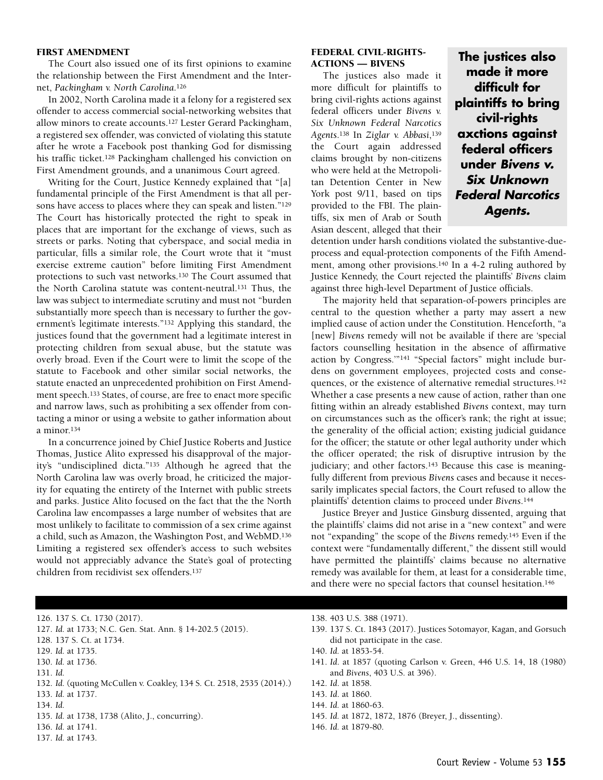#### FIRST AMENDMENT

The Court also issued one of its first opinions to examine the relationship between the First Amendment and the Internet, *Packingham v. North Carolina*.126

In 2002, North Carolina made it a felony for a registered sex offender to access commercial social-networking websites that allow minors to create accounts.127 Lester Gerard Packingham, a registered sex offender, was convicted of violating this statute after he wrote a Facebook post thanking God for dismissing his traffic ticket.<sup>128</sup> Packingham challenged his conviction on First Amendment grounds, and a unanimous Court agreed.

Writing for the Court, Justice Kennedy explained that "[a] fundamental principle of the First Amendment is that all persons have access to places where they can speak and listen."129 The Court has historically protected the right to speak in places that are important for the exchange of views, such as streets or parks. Noting that cyberspace, and social media in particular, fills a similar role, the Court wrote that it "must exercise extreme caution" before limiting First Amendment protections to such vast networks.130 The Court assumed that the North Carolina statute was content-neutral.131 Thus, the law was subject to intermediate scrutiny and must not "burden substantially more speech than is necessary to further the government's legitimate interests."132 Applying this standard, the justices found that the government had a legitimate interest in protecting children from sexual abuse, but the statute was overly broad. Even if the Court were to limit the scope of the statute to Facebook and other similar social networks, the statute enacted an unprecedented prohibition on First Amendment speech.133 States, of course, are free to enact more specific and narrow laws, such as prohibiting a sex offender from contacting a minor or using a website to gather information about a minor.134

In a concurrence joined by Chief Justice Roberts and Justice Thomas, Justice Alito expressed his disapproval of the majority's "undisciplined dicta."135 Although he agreed that the North Carolina law was overly broad, he criticized the majority for equating the entirety of the Internet with public streets and parks. Justice Alito focused on the fact that the the North Carolina law encompasses a large number of websites that are most unlikely to facilitate to commission of a sex crime against a child, such as Amazon, the Washington Post, and WebMD.136 Limiting a registered sex offender's access to such websites would not appreciably advance the State's goal of protecting children from recidivist sex offenders.137

#### FEDERAL CIVIL-RIGHTS-ACTIONS — BIVENS

The justices also made it more difficult for plaintiffs to bring civil-rights actions against federal officers under *Bivens v. Six Unknown Federal Narcotics Agents*.138 In *Ziglar v. Abbasi*,139 the Court again addressed claims brought by non-citizens who were held at the Metropolitan Detention Center in New York post 9/11, based on tips provided to the FBI. The plaintiffs, six men of Arab or South Asian descent, alleged that their

**The justices also made it more difficult for plaintiffs to bring civil-rights axctions against federal officers under** *Bivens v. Six Unknown Federal Narcotics Agents.*

detention under harsh conditions violated the substantive-dueprocess and equal-protection components of the Fifth Amendment, among other provisions.140 In a 4-2 ruling authored by Justice Kennedy, the Court rejected the plaintiffs' *Bivens* claim against three high-level Department of Justice officials.

The majority held that separation-of-powers principles are central to the question whether a party may assert a new implied cause of action under the Constitution. Henceforth, "a [new] *Bivens* remedy will not be available if there are 'special factors counselling hesitation in the absence of affirmative action by Congress.'"141 "Special factors" might include burdens on government employees, projected costs and consequences, or the existence of alternative remedial structures.142 Whether a case presents a new cause of action, rather than one fitting within an already established *Bivens* context, may turn on circumstances such as the officer's rank; the right at issue; the generality of the official action; existing judicial guidance for the officer; the statute or other legal authority under which the officer operated; the risk of disruptive intrusion by the judiciary; and other factors.<sup>143</sup> Because this case is meaningfully different from previous *Bivens* cases and because it necessarily implicates special factors, the Court refused to allow the plaintiffs' detention claims to proceed under *Bivens*.144

Justice Breyer and Justice Ginsburg dissented, arguing that the plaintiffs' claims did not arise in a "new context" and were not "expanding" the scope of the *Bivens* remedy.145 Even if the context were "fundamentally different," the dissent still would have permitted the plaintiffs' claims because no alternative remedy was available for them, at least for a considerable time, and there were no special factors that counsel hesitation.146

126. 137 S. Ct. 1730 (2017).

127. *Id.* at 1733; N.C. Gen. Stat. Ann. § 14-202.5 (2015).

- 128. 137 S. Ct. at 1734.
- 129. *Id.* at 1735.
- 130. *Id.* at 1736.
- 131. *Id.*
- 132. *Id.* (quoting McCullen v. Coakley, 134 S. Ct. 2518, 2535 (2014).)
- 133. *Id.* at 1737.
- 134. *Id.*
- 135. *Id.* at 1738, 1738 (Alito, J., concurring).
- 136. *Id.* at 1741.
- 137. *Id.* at 1743.
- 138. 403 U.S. 388 (1971).
- 139. 137 S. Ct. 1843 (2017). Justices Sotomayor, Kagan, and Gorsuch did not participate in the case.
- 140. *Id.* at 1853-54.
- 141. *Id*. at 1857 (quoting Carlson v. Green, 446 U.S. 14, 18 (1980) and *Bivens*, 403 U.S. at 396).
- 142. *Id*. at 1858.
- 143. *Id*. at 1860.
- 144. *Id.* at 1860-63.
- 145. *Id.* at 1872, 1872, 1876 (Breyer, J., dissenting).
- 146. *Id.* at 1879-80.